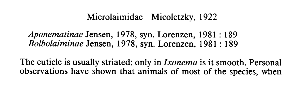## Microlaimidae Micoletzky, 1922

## Aponematinae Jensen, 1978, syn. Lorenzen, 1981 : 189 Bolbolaiminae Jensen, 1978, syn. Lorenzen, 1981 : 189

The cuticle is usually striated; only in *Ixonema* is it smooth. Personal observations have shown that animals of most of the species, when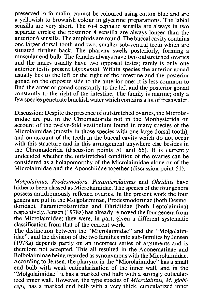preserved in formalin, cannot be coloured using cotton blue and are a yellowish to brownish colour in glycerine preparations. The labial sensilla are very short. The 6+4 cephalic sensilla are always in two separate circles; the posterior 4 sensilla are always longer than the anterior 6 sensilla. The amphids are round. The buccal cavity contains one larger dorsal tooth and two, smaller sub-ventral teeth which are situated further back. The pharynx swells posteriorly, forming a muscular end bulb. The females always have two outstretched ovaries and the males usually have two opposed testes; rarely is only one anterior testis present (Aponema). Within species the anterior gonad usually lies to the left or the right of the intestine and the posterior gonad on the opposite side to the anterior one; it is less common to find the anterior gonad constantly to the left and the posterior gonad constantly to the right of the intestine. The family is marine; only a few species penetrate brackish water which contains a lot of freshwater.

Discussion: Despite the presence of outstretched ovaries, the Microlaimidae are put in the Chromadorida not in the Monhysterida on account of the twelve-fold vestibulum found in many species of the Microlaimidae (mostly in those species with one large dorsal tooth), and on account of the teeth in the buccal cavity which do not occur with this structure and in this arrangement anywhere else besides in the Chromadorida (discussion points 51 and 66). It is currently undecided whether the outstretched condition of the ovaries can be considered as a holapomorphy of the Microlaimidae alone or of the Microlaimidae and the Aponchiidae together (discussion point 51).

Molgolaimus, Prodesmodora, Paramicrolaimus and Ohridius have hitherto been classed as Microlaimidae. The species of the four genera possess antidromously reflexed ovaries. In the present work the four genera are put in the Molgolaiminae, Prodesmodorinae (both Desmodoridae), Paramicrolaimidae and Ohridiidae (both Leptolaimina) respectively. Jensen (1978a) has already removed the four genera from the Microlaimidae; they were, in part, given a different systematic classification from that of the current work.

The distinction between the "Microlaimidae" and the "Molgolaimidae", and the division of the two families into sub-families by Jensen (1978a) depends partly on an incorrect series of arguments and is therefore not accepted. This all resulted in the Aponematinae and Bolbolaiminae being regarded as synonymous with the Microlaimidae. According to Jensen, the pharynx in the "Microlaimidae" has a small end bulb with weak cuticularization of the inner wall, and in the "Molgolaimidae" it has a marked end bulb with a strongly cuticularized inner wall. However, the type species of Microlaimus, M. globiceps, has a marked end bulb with a very thick, cuticularized inner